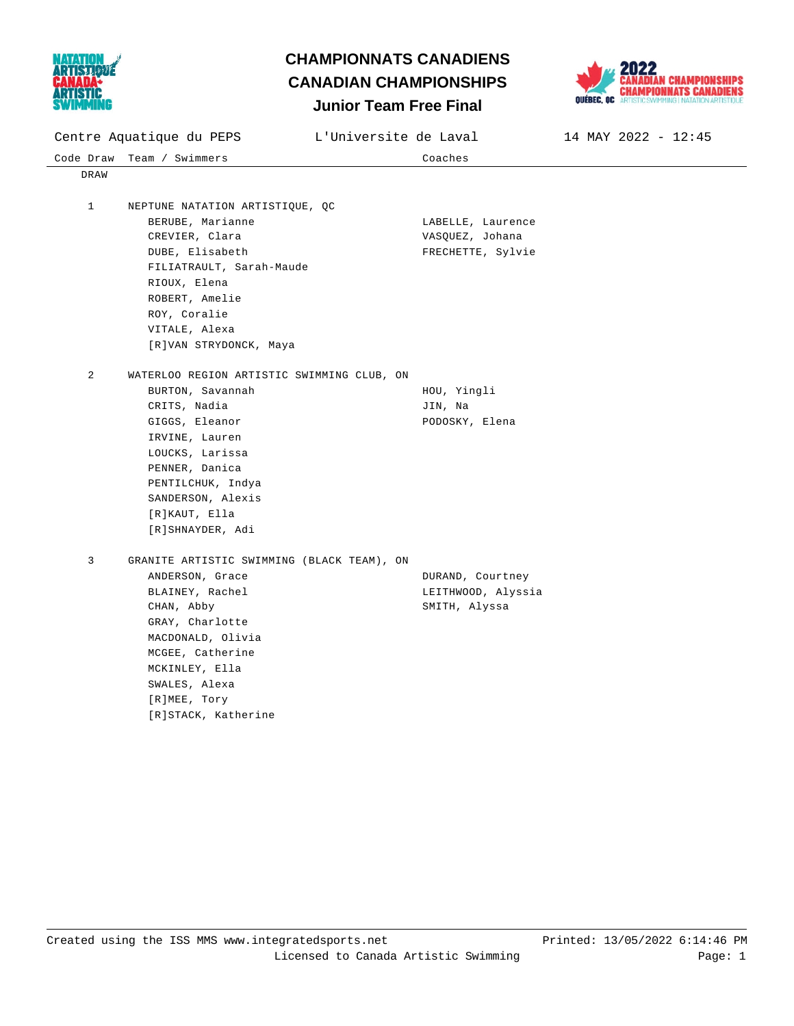



Code Draw Team / Swimmers Coaches Centre Aquatique du PEPS L'Universite de Laval 14 MAY 2022 - 12:45 DRAW 1 NEPTUNE NATATION ARTISTIQUE, QC BERUBE, Marianne Controller Communications and LABELLE, Laurence CREVIER, Clara **VASQUEZ**, Johana DUBE, Elisabeth **FRECHETTE**, Sylvie FILIATRAULT, Sarah-Maude RIOUX, Elena ROBERT, Amelie ROY, Coralie VITALE, Alexa [R]VAN STRYDONCK, Maya 2 WATERLOO REGION ARTISTIC SWIMMING CLUB, ON BURTON, Savannah **HOU**, Yingli CRITS, Nadia JIN, Na GIGGS, Eleanor PODOSKY, Elena IRVINE, Lauren LOUCKS, Larissa PENNER, Danica PENTILCHUK, Indya SANDERSON, Alexis [R]KAUT, Ella [R]SHNAYDER, Adi 3 GRANITE ARTISTIC SWIMMING (BLACK TEAM), ON ANDERSON, Grace **DURAND**, Courtney BLAINEY, Rachel **LEITHWOOD**, Alyssia CHAN, Abby SMITH, Alyssa GRAY, Charlotte MACDONALD, Olivia MCGEE, Catherine MCKINLEY, Ella SWALES, Alexa [R]MEE, Tory [R]STACK, Katherine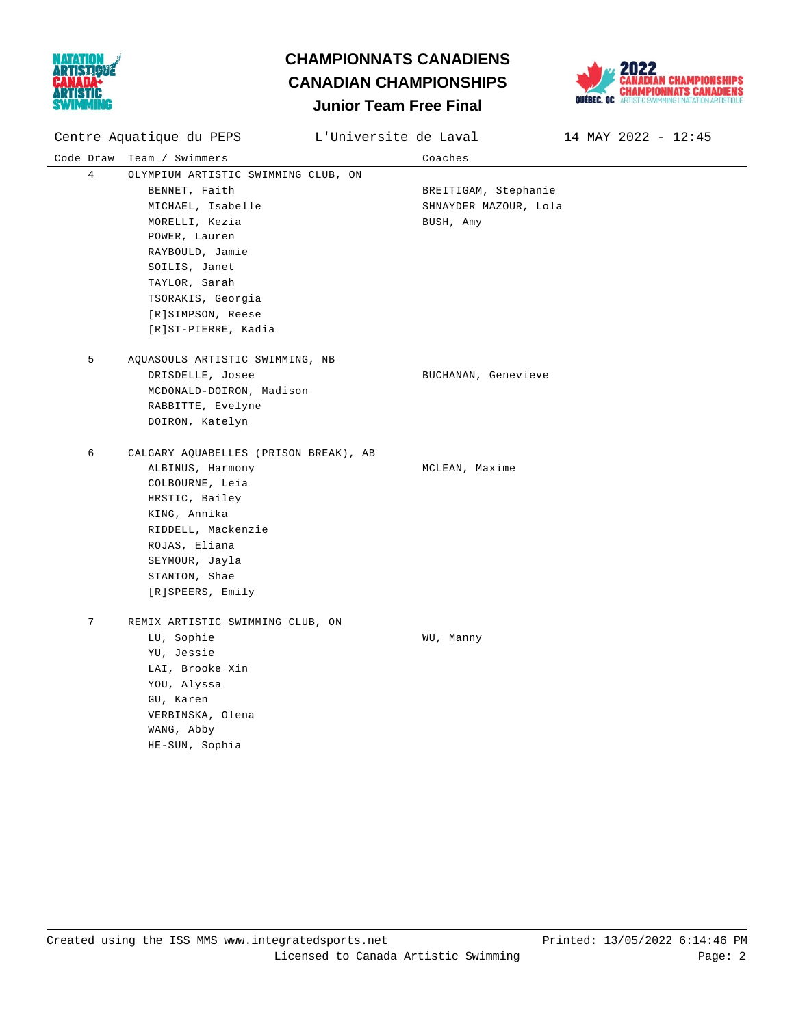



Code Draw Team / Swimmers Coaches Centre Aquatique du PEPS L'Universite de Laval 14 MAY 2022 - 12:45 4 OLYMPIUM ARTISTIC SWIMMING CLUB, ON BENNET, Faith **BREITIGAM**, Stephanie MICHAEL, Isabelle SHNAYDER MAZOUR, Lola MORELLI, Kezia and BUSH, Amy POWER, Lauren RAYBOULD, Jamie SOILIS, Janet TAYLOR, Sarah TSORAKIS, Georgia [R]SIMPSON, Reese [R]ST-PIERRE, Kadia 5 AQUASOULS ARTISTIC SWIMMING, NB DRISDELLE, Josee Sand Controller BUCHANAN, Genevieve MCDONALD-DOIRON, Madison RABBITTE, Evelyne DOIRON, Katelyn 6 CALGARY AQUABELLES (PRISON BREAK), AB ALBINUS, Harmony **MCLEAN**, Maxime COLBOURNE, Leia HRSTIC, Bailey KING, Annika RIDDELL, Mackenzie ROJAS, Eliana SEYMOUR, Jayla STANTON, Shae [R]SPEERS, Emily 7 REMIX ARTISTIC SWIMMING CLUB, ON LU, Sophie WU, Manny YU, Jessie LAI, Brooke Xin YOU, Alyssa GU, Karen VERBINSKA, Olena WANG, Abby HE-SUN, Sophia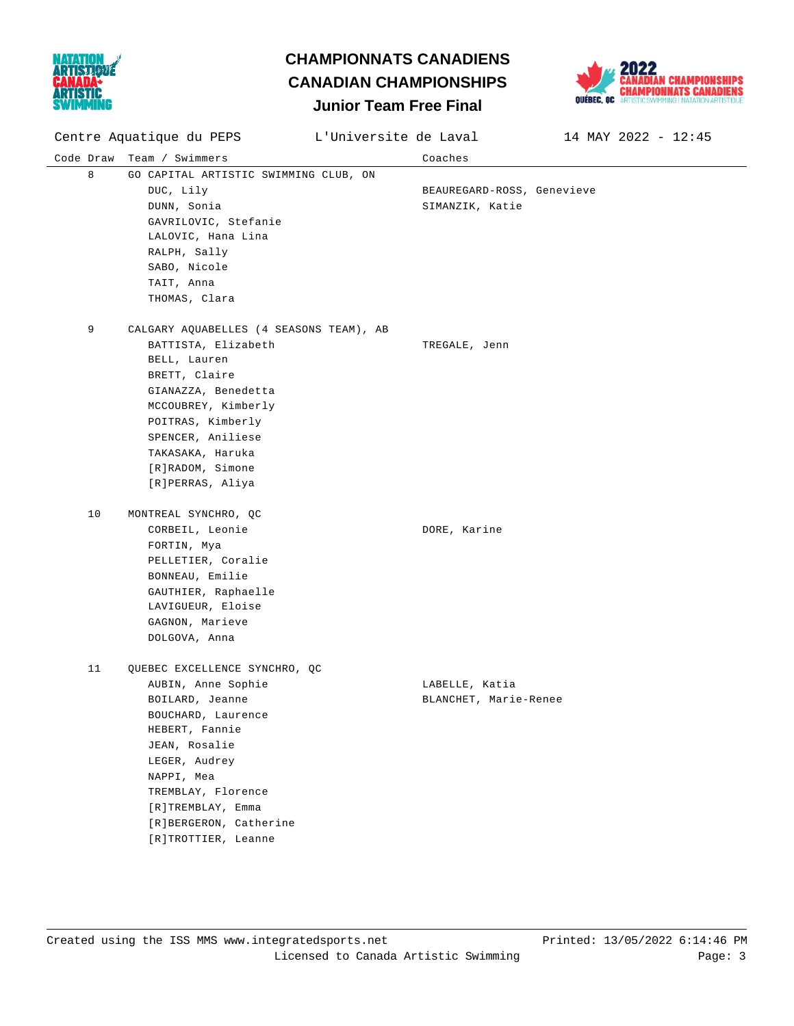



Code Draw Team / Swimmers Coaches Centre Aquatique du PEPS L'Universite de Laval 14 MAY 2022 - 12:45 8 GO CAPITAL ARTISTIC SWIMMING CLUB, ON DUC, Lily BEAUREGARD-ROSS, Genevieve DUNN, Sonia and SIMANZIK, Katie GAVRILOVIC, Stefanie LALOVIC, Hana Lina RALPH, Sally SABO, Nicole TAIT, Anna THOMAS, Clara 9 CALGARY AQUABELLES (4 SEASONS TEAM), AB BATTISTA, Elizabeth TREGALE, Jenn BELL, Lauren BRETT, Claire GIANAZZA, Benedetta MCCOUBREY, Kimberly POITRAS, Kimberly SPENCER, Aniliese TAKASAKA, Haruka [R]RADOM, Simone [R]PERRAS, Aliya 10 MONTREAL SYNCHRO, QC CORBEIL, Leonie DORE, Karine FORTIN, Mya PELLETIER, Coralie BONNEAU, Emilie GAUTHIER, Raphaelle LAVIGUEUR, Eloise GAGNON, Marieve DOLGOVA, Anna 11 QUEBEC EXCELLENCE SYNCHRO, QC AUBIN, Anne Sophie Communication of LABELLE, Katia BOILARD, Jeanne **BLANCHET**, Marie-Renee BOUCHARD, Laurence HEBERT, Fannie JEAN, Rosalie LEGER, Audrey NAPPI, Mea TREMBLAY, Florence [R]TREMBLAY, Emma [R]BERGERON, Catherine [R]TROTTIER, Leanne